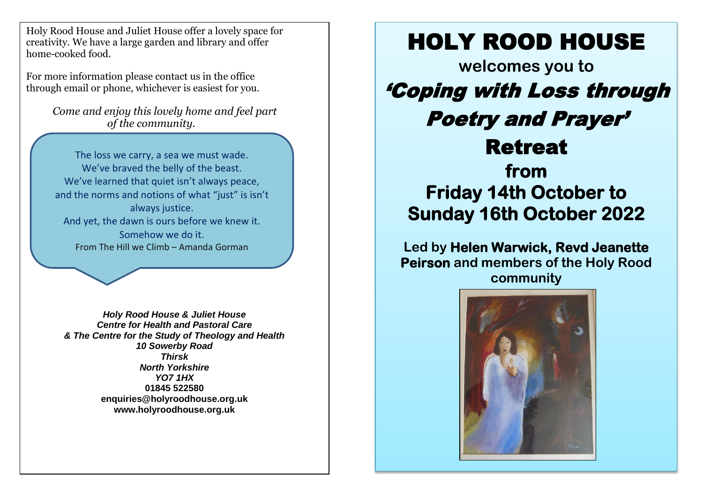Holy Rood House and Juliet House offer a lovely space for creativity. We have a large garden and library and offer home-cooked food.

For more information please contact us in the office through email or phone, whichever is easiest for you.

> *Come and enjoy this lovely home and feel part of the community.*

The loss we carry, a sea we must wade. We've braved the belly of the beast. We've learned that quiet isn't always peace, and the norms and notions of what "just" is isn't always justice. And yet, the dawn is ours before we knew it. Somehow we do it. From The Hill we Climb – Amanda Gorman

*Holy Rood House & Juliet House Centre for Health and Pastoral Care & The Centre for the Study of Theology and Health 10 Sowerby Road Thirsk North Yorkshire YO7 1HX* **01845 522580 enquiries@holyroodhouse.org.uk www.holyroodhouse.org.uk**

## HOLY ROOD HOUSE

**welcomes you to**  'Coping with Loss through Poetry and Prayer' Retreat **from Friday 14th October to Sunday 16th October 2022** 

**Led by Helen Warwick, Revd Jeanette Peirson and members of the Holy Rood community**